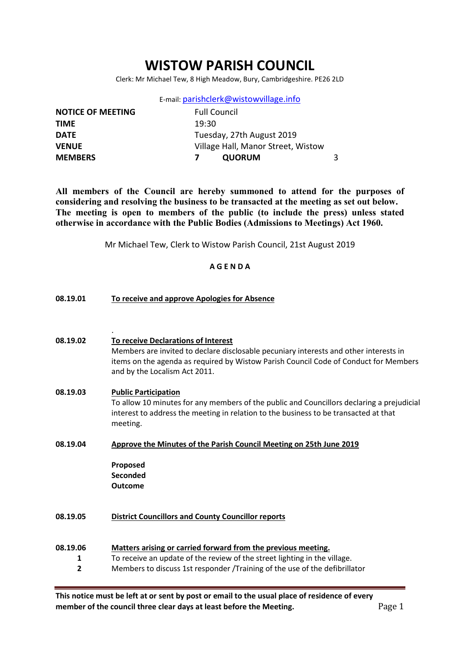# WISTOW PARISH COUNCIL

Clerk: Mr Michael Tew, 8 High Meadow, Bury, Cambridgeshire. PE26 2LD

E-mail: parishclerk@wistowvillage.info

| <b>NOTICE OF MEETING</b> | <b>Full Council</b>                |  |
|--------------------------|------------------------------------|--|
| <b>TIME</b>              | 19:30                              |  |
| <b>DATE</b>              | Tuesday, 27th August 2019          |  |
| <b>VENUE</b>             | Village Hall, Manor Street, Wistow |  |
| <b>MEMBERS</b>           | <b>QUORUM</b>                      |  |
|                          |                                    |  |

All members of the Council are hereby summoned to attend for the purposes of considering and resolving the business to be transacted at the meeting as set out below. The meeting is open to members of the public (to include the press) unless stated otherwise in accordance with the Public Bodies (Admissions to Meetings) Act 1960.

Mr Michael Tew, Clerk to Wistow Parish Council, 21st August 2019

# A G E N D A

| 08.19.01           | To receive and approve Apologies for Absence                                                                                                                                                                                                          |  |  |  |  |
|--------------------|-------------------------------------------------------------------------------------------------------------------------------------------------------------------------------------------------------------------------------------------------------|--|--|--|--|
|                    |                                                                                                                                                                                                                                                       |  |  |  |  |
| 08.19.02           | To receive Declarations of Interest<br>Members are invited to declare disclosable pecuniary interests and other interests in<br>items on the agenda as required by Wistow Parish Council Code of Conduct for Members<br>and by the Localism Act 2011. |  |  |  |  |
| 08.19.03           | <b>Public Participation</b><br>To allow 10 minutes for any members of the public and Councillors declaring a prejudicial<br>interest to address the meeting in relation to the business to be transacted at that<br>meeting.                          |  |  |  |  |
| 08.19.04           | Approve the Minutes of the Parish Council Meeting on 25th June 2019                                                                                                                                                                                   |  |  |  |  |
|                    | Proposed<br>Seconded<br><b>Outcome</b>                                                                                                                                                                                                                |  |  |  |  |
| 08.19.05           | <b>District Councillors and County Councillor reports</b>                                                                                                                                                                                             |  |  |  |  |
| 08.19.06<br>1<br>2 | Matters arising or carried forward from the previous meeting.<br>To receive an update of the review of the street lighting in the village.<br>Members to discuss 1st responder /Training of the use of the defibrillator                              |  |  |  |  |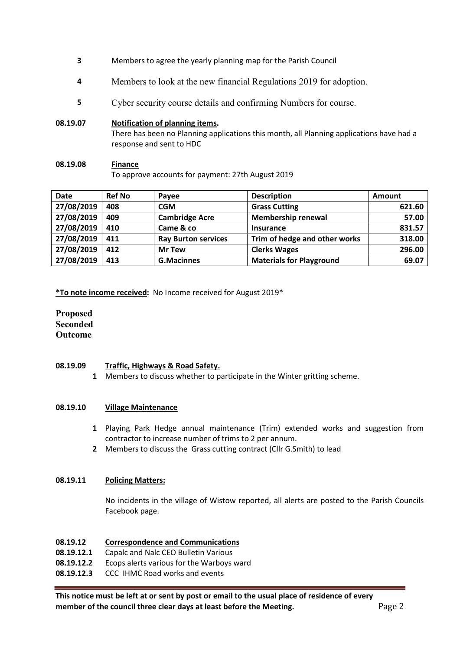- 3 Members to agree the yearly planning map for the Parish Council
- 4 Members to look at the new financial Regulations 2019 for adoption.
- 5 Cyber security course details and confirming Numbers for course.

### 08.19.07 Notification of planning items.

There has been no Planning applications this month, all Planning applications have had a response and sent to HDC

### 08.19.08 Finance

To approve accounts for payment: 27th August 2019

| <b>Date</b> | <b>Ref No</b> | Payee                      | <b>Description</b>              | Amount |
|-------------|---------------|----------------------------|---------------------------------|--------|
| 27/08/2019  | 408           | <b>CGM</b>                 | <b>Grass Cutting</b>            | 621.60 |
| 27/08/2019  | 409           | <b>Cambridge Acre</b>      | <b>Membership renewal</b>       | 57.00  |
| 27/08/2019  | 410           | Came & co                  | <b>Insurance</b>                | 831.57 |
| 27/08/2019  | 411           | <b>Ray Burton services</b> | Trim of hedge and other works   | 318.00 |
| 27/08/2019  | 412           | <b>Mr Tew</b>              | <b>Clerks Wages</b>             | 296.00 |
| 27/08/2019  | 413           | <b>G.Macinnes</b>          | <b>Materials for Playground</b> | 69.07  |

\*To note income received: No Income received for August 2019\*

# Proposed Seconded Outcome

#### 08.19.09 Traffic, Highways & Road Safety.

1 Members to discuss whether to participate in the Winter gritting scheme.

#### 08.19.10 Village Maintenance

- 1 Playing Park Hedge annual maintenance (Trim) extended works and suggestion from contractor to increase number of trims to 2 per annum.
- 2 Members to discuss the Grass cutting contract (Cllr G.Smith) to lead

# 08.19.11 Policing Matters:

No incidents in the village of Wistow reported, all alerts are posted to the Parish Councils Facebook page.

# 08.19.12 Correspondence and Communications

- 08.19.12.1 Capalc and Nalc CEO Bulletin Various
- 08.19.12.2 Ecops alerts various for the Warboys ward
- 08.19.12.3 CCC IHMC Road works and events